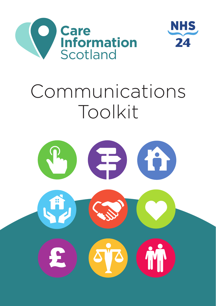



# Communications Toolkit

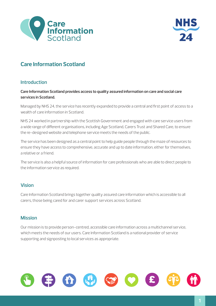



# **Care Information Scotland**

# **Introduction**

### **Care Information Scotland provides access to quality assured information on care and social care services in Scotland.**

Managed by NHS 24, the service has recently expanded to provide a central and first point of access to a wealth of care information in Scotland.

NHS 24 worked in partnership with the Scottish Government and engaged with care service users from a wide range of different organisations, including Age Scotland, Carers Trust and Shared Care, to ensure the re-designed website and telephone service meets the needs of the public.

The service has been designed as a central point to help guide people through the maze of resources to ensure they have access to comprehensive, accurate and up to date information, either for themselves, a relative or a friend.

The service is also a helpful source of information for care professionals who are able to direct people to the information service as required.

# **Vision**

Care Information Scotland brings together quality assured care information which is accessible to all carers, those being cared for and carer support services across Scotland.

# **Mission**

Our mission is to provide person-centred, accessible care information across a multichannel service, which meets the needs of our users. Care Information Scotland is a national provider of service supporting and signposting to local services as appropriate.

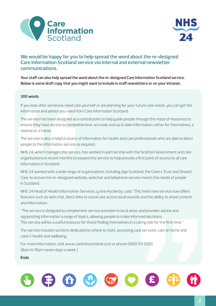



# **We would be happy for you to help spread the word about the re-designed Care Information Scotland service via internal and external newsletter communications.**

**Your staff can also help spread the word about the re-designed Care Information Scotland service. Below is some draft copy that you might want to include in staff newsletters or on your intranet.** 

#### **300 words**

If you look after someone, need care yourself or are planning for your future care needs, you can get the information and advice you need from Care Information Scotland.

The service has been designed as a central point to help guide people through the maze of resources to ensure they have access to comprehensive, accurate and up to date information, either for themselves, a relative or a friend.

The service is also a helpful source of information for health and care professionals who are able to direct people to the information service as required.

NHS 24, which manages the service, has worked in partnership with the Scottish Government and care organisations in recent months to expand the service to help provide a first point of access to all care information in Scotland.

If you look after someone, need can<br>information and advice you need fro<br>The service has been designed as a<br>ensure they have access to compre<br>relative or a friend.<br>The service is also a helpful source c<br>people to the inform NHS 24 worked with a wide range of organisations, including Age Scotland, the Carers Trust and Shared Care, to ensure the re-designed website, webchat and telephone service meets the needs of people in Scotland.

NHS 24 Head of Health Information Services, Lynne Huckerby, said: "This fresh new service now offers features such as web chat, direct links to social care across local councils and the ability to share content and information.

"The service is designed to complement service provision in local areas and provides advice and signposting information a range of topics, allowing people to make informed decisions. This service will be a useful resource for those finding themselves in a caring role for the first time."

The service includes sections dedicated to where to start, accessing care services, care at home and carers' health and wellbeing.

For more information, visit www.careinfoscotland.scot or phone 0800 011 3200 (8am to 10pm seven days a week.)

#### **Ends**

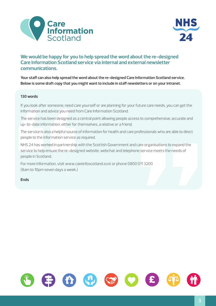



# **We would be happy for you to help spread the word about the re-designed Care Information Scotland service via internal and external newsletter communications.**

**Your staff can also help spread the word about the re-designed Care Information Scotland service. Below is some draft copy that you might want to include in staff newsletters or on your intranet.** 

#### **130 words**

If you look after someone, need care yourself or are planning for your future care needs, you can get the information and advice you need from Care Information Scotland.

The service has been designed as a central point allowing people access to comprehensive, accurate and up-to-date information, either for themselves, a relative or a friend.

The service is also a helpful source of information for health and care professionals who are able to direct people to the information service as required.

Iso words<br>If you look after someone, need care<br>information and advice you need fro<br>The service has been designed as a<br>Dro-date information, either for tl<br>Preservice is also a helpful source of<br>people to the information ser roressionals who are able to direct<br>care organisations to expand the<br>he service meets the needs of<br>0113200 NHS 24 has worked in partnership with the Scottish Government and care organisations to expand the service to help ensure the re-designed website, webchat and telephone service meets the needs of people in Scotland.

For more information, visit www.careinfoscotland.scot or phone 0800 011 3200 (8am to 10pm seven days a week.)

**Ends**

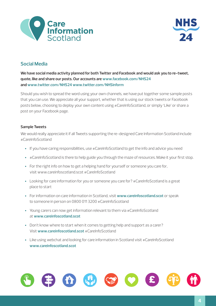



# **Social Media**

**We have social media activity planned for both Twitter and Facebook and would ask you to re-tweet, quote, like and share our posts. Our accounts are www.facebook.com/NHS24 and www.twitter.com/NHS24 www.twitter.com/NHSinform** 

Should you wish to spread the word using your own channels, we have put together some sample posts that you can use. We appreciate all your support, whether that is using our stock tweets or Facebook posts below, choosing to deploy your own content using #CareInfoScotland, or simply 'Like' or share a post on your Facebook page.

#### **Sample Tweets**

We would really appreciate it if all Tweets supporting the re-designed Care Information Scotland include #CareInfoScotland

- If you have caring responsibilities, use #CareInfoScotland to get the info and advice you need
- #CareInfoScotland is there to help guide you through the maze of resources. Make it your first stop.
- For the right info on how to get a helping hand for yourself or someone you care for. visit www.careinfoscotland.scot #CareInfoScotland
- Looking for care information for you or someone you care for? #CareInfoScotland is a great place to start
- For information on care information in Scotland, visit **www.careinfoscotland.scot** or speak to someone in person on 0800 011 3200 #CareInfoScotland
- Young carers can now get information relevant to them via #CareInfoScotland at **www.careinfoscotland.scot**
- Don't know where to start when it comes to getting help and support as a carer? Visit **www.careinfoscotland.scot** #CareInfoScotland
- Like using webchat and looking for care information in Scotland visit #CareInfoScotland **www.careinfoscotland.scot**

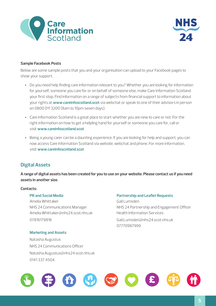



#### **Sample Facebook Posts**

Below are some sample posts that you and your organisation can upload to your Facebook pages to show your support.

- Do you need help finding care information relevant to you? Whether you are looking for information for yourself, someone you care for or on behalf of someone else, make Care Information Scotland your first stop. Find information on a range of subjects from financial support to information about your rights at **www.careinfoscotland.scot** via webchat or speak to one of their advisors in person on 0800 011 3200 (8am to 10pm seven days).
- Care Information Scotland is a great place to start whether you are new to care or not. For the right information on how to get a helpling hand for yourself or someone you care for, call or visit **www.careinfoscotland.scot**
- Being a young carer can be a daunting experience. If you are looking for help and support, you can now access Care Information Scotland via website, webchat and phone. For more information, visit **www.careinfoscotland.scot**

# **Digital Assets**

**A range of digital assets has been created for you to use on your website. Please contact us if you need assets in another size.** 

#### **Contacts:**

Amelia Whittaker Gail Lumsden Amelia.Whittaker@nhs24.scot.nhs.uk Health Information Services 07816179816 Gail.Lumsden@nhs24.scot.nhs.uk

#### **Marketing and Assets**

 Natasha Augustus NHS 24 Communications Officer Natasha.Augustus@nhs24.scot.nhs.uk 0141 337 4504

#### **PR and Social Media Partnership and Leaflet Requests**

NHS 24 Communications Manager NHS 24 Partnership and Engagement Officer 07770987999